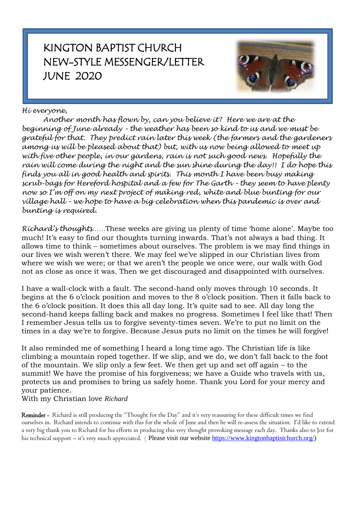## KINGTON BAPTIST CHURCH NEW-STYLE MESSENGER/LETTER JUNE 2020



### *Hi everyone,*

*Another month has flown by, can you believe it? Here we are at the beginning of June already – the weather has been so kind to us and we must be grateful for that. They predict rain later this week (the farmers and the gardeners among us will be pleased about that) but, with us now being allowed to meet up with five other people, in our gardens, rain is not such good news. Hopefully the rain will come during the night and the sun shine during the day!! I do hope this finds you all in good health and spirits. This month I have been busy making scrub-bags for Hereford hospital and a few for The Garth – they seem to have plenty now so I'm off on my next project of making red, white and blue bunting for our village hall – we hope to have a big celebration when this pandemic is over and bunting is required.* 

*Richard's thoughts……*These weeks are giving us plenty of time 'home alone'. Maybe too much! It's easy to find our thoughts turning inwards. That's not always a bad thing. It allows time to think – sometimes about ourselves. The problem is we may find things in our lives we wish weren't there. We may feel we've slipped in our Christian lives from where we wish we were; or that we aren't the people we once were, our walk with God not as close as once it was. Then we get discouraged and disappointed with ourselves.

I have a wall-clock with a fault. The second-hand only moves through 10 seconds. It begins at the 6 o'clock position and moves to the 8 o'clock position. Then it falls back to the 6 o'clock position. It does this all day long. It's quite sad to see. All day long the second-hand keeps falling back and makes no progress. Sometimes I feel like that! Then I remember Jesus tells us to forgive seventy-times seven. We're to put no limit on the times in a day we're to forgive. Because Jesus puts no limit on the times he will forgive!

It also reminded me of something I heard a long time ago. The Christian life is like climbing a mountain roped together. If we slip, and we do, we don't fall back to the foot of the mountain. We slip only a few feet. We then get up and set off again – to the summit! We have the promise of his forgiveness; we have a Guide who travels with us, protects us and promises to bring us safely home. Thank you Lord for your mercy and your patience.

With my Christian love *Richard*

Reminder - Richard is still producing the "Thought for the Day" and it's very reassuring for these difficult times we find ourselves in. Richard intends to continue with this for the whole of June and then he will re-assess the situation. I'd like to extend a very big thank you to Richard for his efforts in producing this very thought provoking message each day. Thanks also to Joe for his technical support – it's very much appreciated. (Please visit our website [https://www.kingtonbaptistchurch.org/\)](https://www.kingtonbaptistchurch.org/)